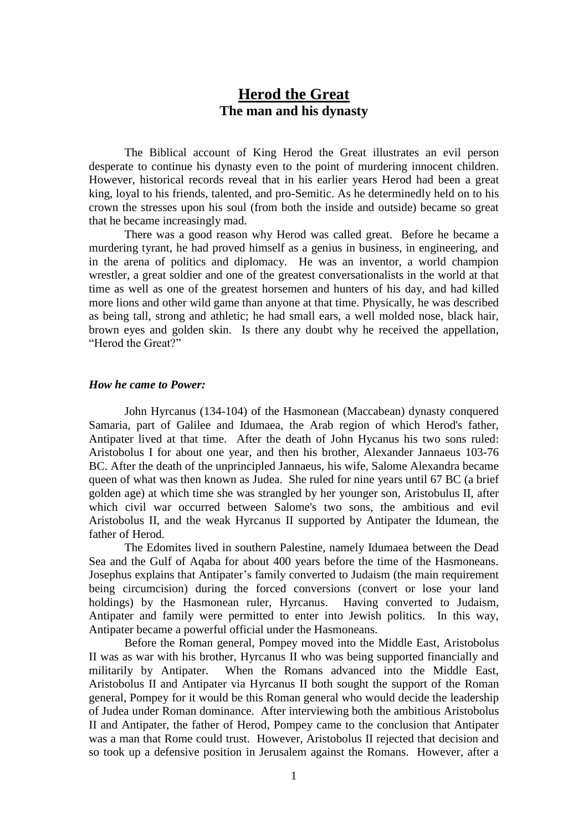# **Herod the Great The man and his dynasty**

The Biblical account of King Herod the Great illustrates an evil person desperate to continue his dynasty even to the point of murdering innocent children. However, historical records reveal that in his earlier years Herod had been a great king, loyal to his friends, talented, and pro-Semitic. As he determinedly held on to his crown the stresses upon his soul (from both the inside and outside) became so great that he became increasingly mad.

There was a good reason why Herod was called great. Before he became a murdering tyrant, he had proved himself as a genius in business, in engineering, and in the arena of politics and diplomacy. He was an inventor, a world champion wrestler, a great soldier and one of the greatest conversationalists in the world at that time as well as one of the greatest horsemen and hunters of his day, and had killed more lions and other wild game than anyone at that time. Physically, he was described as being tall, strong and athletic; he had small ears, a well molded nose, black hair, brown eyes and golden skin. Is there any doubt why he received the appellation, "Herod the Great?"

### *How he came to Power:*

John Hyrcanus (134-104) of the Hasmonean (Maccabean) dynasty conquered Samaria, part of Galilee and Idumaea, the Arab region of which Herod's father, Antipater lived at that time. After the death of John Hycanus his two sons ruled: Aristobolus I for about one year, and then his brother, Alexander Jannaeus 103-76 BC. After the death of the unprincipled Jannaeus, his wife, Salome Alexandra became queen of what was then known as Judea. She ruled for nine years until 67 BC (a brief golden age) at which time she was strangled by her younger son, Aristobulus II, after which civil war occurred between Salome's two sons, the ambitious and evil Aristobolus II, and the weak Hyrcanus II supported by Antipater the Idumean, the father of Herod.

The Edomites lived in southern Palestine, namely Idumaea between the Dead Sea and the Gulf of Aqaba for about 400 years before the time of the Hasmoneans. Josephus explains that Antipater's family converted to Judaism (the main requirement being circumcision) during the forced conversions (convert or lose your land holdings) by the Hasmonean ruler, Hyrcanus. Having converted to Judaism, Antipater and family were permitted to enter into Jewish politics. In this way, Antipater became a powerful official under the Hasmoneans.

Before the Roman general, Pompey moved into the Middle East, Aristobolus II was as war with his brother, Hyrcanus II who was being supported financially and militarily by Antipater. When the Romans advanced into the Middle East, Aristobolus II and Antipater via Hyrcanus II both sought the support of the Roman general, Pompey for it would be this Roman general who would decide the leadership of Judea under Roman dominance. After interviewing both the ambitious Aristobolus II and Antipater, the father of Herod, Pompey came to the conclusion that Antipater was a man that Rome could trust. However, Aristobolus II rejected that decision and so took up a defensive position in Jerusalem against the Romans. However, after a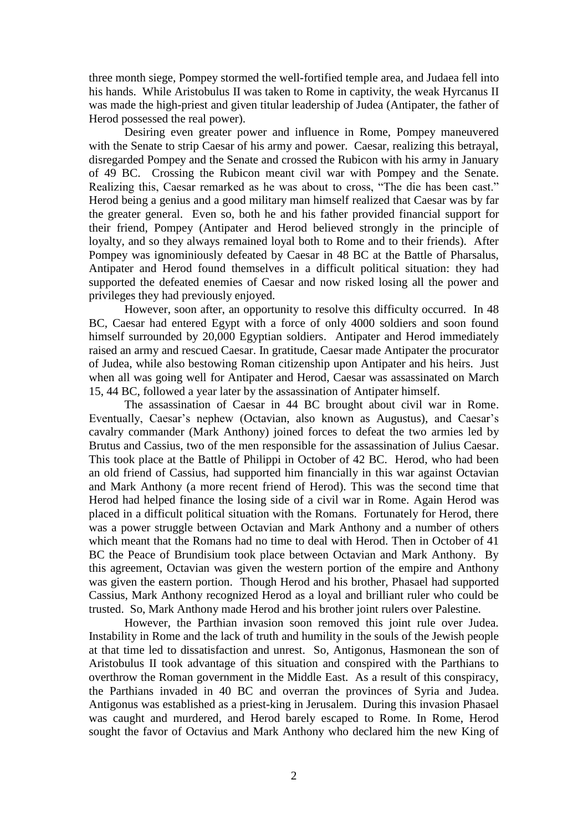three month siege, Pompey stormed the well-fortified temple area, and Judaea fell into his hands. While Aristobulus II was taken to Rome in captivity, the weak Hyrcanus II was made the high-priest and given titular leadership of Judea (Antipater, the father of Herod possessed the real power).

Desiring even greater power and influence in Rome, Pompey maneuvered with the Senate to strip Caesar of his army and power. Caesar, realizing this betrayal, disregarded Pompey and the Senate and crossed the Rubicon with his army in January of 49 BC. Crossing the Rubicon meant civil war with Pompey and the Senate. Realizing this, Caesar remarked as he was about to cross, "The die has been cast." Herod being a genius and a good military man himself realized that Caesar was by far the greater general. Even so, both he and his father provided financial support for their friend, Pompey (Antipater and Herod believed strongly in the principle of loyalty, and so they always remained loyal both to Rome and to their friends). After Pompey was ignominiously defeated by Caesar in 48 BC at the Battle of Pharsalus, Antipater and Herod found themselves in a difficult political situation: they had supported the defeated enemies of Caesar and now risked losing all the power and privileges they had previously enjoyed.

However, soon after, an opportunity to resolve this difficulty occurred. In 48 BC, Caesar had entered Egypt with a force of only 4000 soldiers and soon found himself surrounded by 20,000 Egyptian soldiers. Antipater and Herod immediately raised an army and rescued Caesar. In gratitude, Caesar made Antipater the procurator of Judea, while also bestowing Roman citizenship upon Antipater and his heirs. Just when all was going well for Antipater and Herod, Caesar was assassinated on March 15, 44 BC, followed a year later by the assassination of Antipater himself.

The assassination of Caesar in 44 BC brought about civil war in Rome. Eventually, Caesar's nephew (Octavian, also known as Augustus), and Caesar's cavalry commander (Mark Anthony) joined forces to defeat the two armies led by Brutus and Cassius, two of the men responsible for the assassination of Julius Caesar. This took place at the Battle of Philippi in October of 42 BC. Herod, who had been an old friend of Cassius, had supported him financially in this war against Octavian and Mark Anthony (a more recent friend of Herod). This was the second time that Herod had helped finance the losing side of a civil war in Rome. Again Herod was placed in a difficult political situation with the Romans. Fortunately for Herod, there was a power struggle between Octavian and Mark Anthony and a number of others which meant that the Romans had no time to deal with Herod. Then in October of 41 BC the Peace of Brundisium took place between Octavian and Mark Anthony. By this agreement, Octavian was given the western portion of the empire and Anthony was given the eastern portion. Though Herod and his brother, Phasael had supported Cassius, Mark Anthony recognized Herod as a loyal and brilliant ruler who could be trusted. So, Mark Anthony made Herod and his brother joint rulers over Palestine.

However, the Parthian invasion soon removed this joint rule over Judea. Instability in Rome and the lack of truth and humility in the souls of the Jewish people at that time led to dissatisfaction and unrest. So, Antigonus, Hasmonean the son of Aristobulus II took advantage of this situation and conspired with the Parthians to overthrow the Roman government in the Middle East. As a result of this conspiracy, the Parthians invaded in 40 BC and overran the provinces of Syria and Judea. Antigonus was established as a priest-king in Jerusalem. During this invasion Phasael was caught and murdered, and Herod barely escaped to Rome. In Rome, Herod sought the favor of Octavius and Mark Anthony who declared him the new King of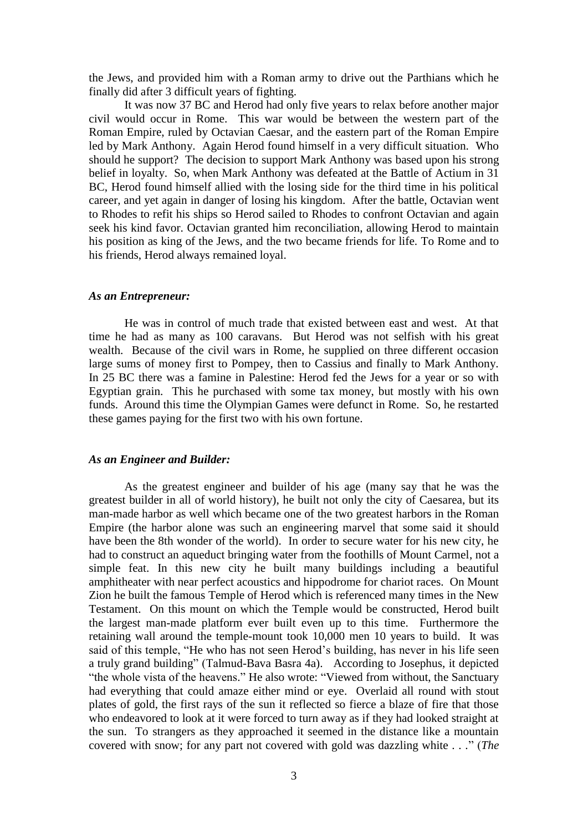the Jews, and provided him with a Roman army to drive out the Parthians which he finally did after 3 difficult years of fighting.

It was now 37 BC and Herod had only five years to relax before another major civil would occur in Rome. This war would be between the western part of the Roman Empire, ruled by Octavian Caesar, and the eastern part of the Roman Empire led by Mark Anthony. Again Herod found himself in a very difficult situation. Who should he support? The decision to support Mark Anthony was based upon his strong belief in loyalty. So, when Mark Anthony was defeated at the Battle of Actium in 31 BC, Herod found himself allied with the losing side for the third time in his political career, and yet again in danger of losing his kingdom. After the battle, Octavian went to Rhodes to refit his ships so Herod sailed to Rhodes to confront Octavian and again seek his kind favor. Octavian granted him reconciliation, allowing Herod to maintain his position as king of the Jews, and the two became friends for life. To Rome and to his friends, Herod always remained loyal.

### *As an Entrepreneur:*

He was in control of much trade that existed between east and west. At that time he had as many as 100 caravans. But Herod was not selfish with his great wealth. Because of the civil wars in Rome, he supplied on three different occasion large sums of money first to Pompey, then to Cassius and finally to Mark Anthony. In 25 BC there was a famine in Palestine: Herod fed the Jews for a year or so with Egyptian grain. This he purchased with some tax money, but mostly with his own funds. Around this time the Olympian Games were defunct in Rome. So, he restarted these games paying for the first two with his own fortune.

### *As an Engineer and Builder:*

As the greatest engineer and builder of his age (many say that he was the greatest builder in all of world history), he built not only the city of Caesarea, but its man-made harbor as well which became one of the two greatest harbors in the Roman Empire (the harbor alone was such an engineering marvel that some said it should have been the 8th wonder of the world). In order to secure water for his new city, he had to construct an aqueduct bringing water from the foothills of Mount Carmel, not a simple feat. In this new city he built many buildings including a beautiful amphitheater with near perfect acoustics and hippodrome for chariot races. On Mount Zion he built the famous Temple of Herod which is referenced many times in the New Testament. On this mount on which the Temple would be constructed, Herod built the largest man-made platform ever built even up to this time. Furthermore the retaining wall around the temple-mount took 10,000 men 10 years to build. It was said of this temple, "He who has not seen Herod's building, has never in his life seen a truly grand building" (Talmud-Bava Basra 4a). According to Josephus, it depicted "the whole vista of the heavens." He also wrote: "Viewed from without, the Sanctuary had everything that could amaze either mind or eye. Overlaid all round with stout plates of gold, the first rays of the sun it reflected so fierce a blaze of fire that those who endeavored to look at it were forced to turn away as if they had looked straight at the sun. To strangers as they approached it seemed in the distance like a mountain covered with snow; for any part not covered with gold was dazzling white . . ." (*The*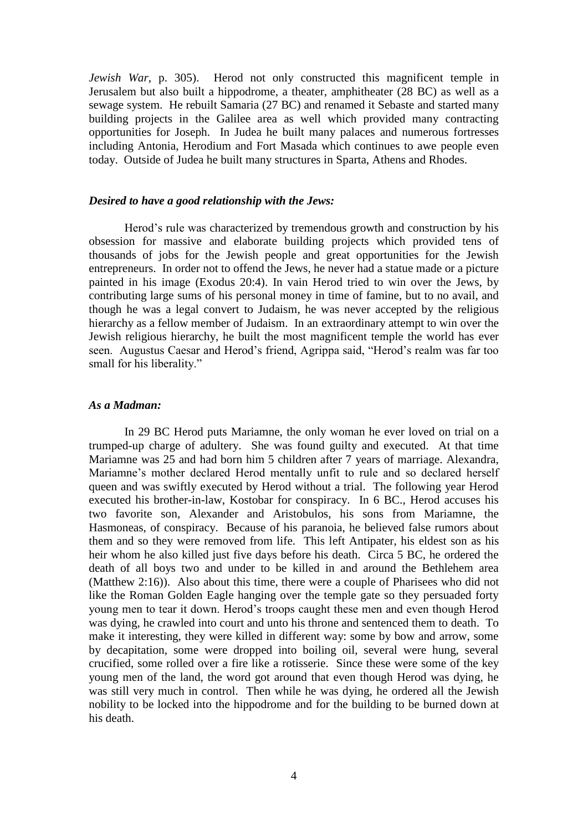*Jewish War*, p. 305). Herod not only constructed this magnificent temple in Jerusalem but also built a hippodrome, a theater, amphitheater (28 BC) as well as a sewage system. He rebuilt Samaria (27 BC) and renamed it Sebaste and started many building projects in the Galilee area as well which provided many contracting opportunities for Joseph. In Judea he built many palaces and numerous fortresses including Antonia, Herodium and Fort Masada which continues to awe people even today. Outside of Judea he built many structures in Sparta, Athens and Rhodes.

## *Desired to have a good relationship with the Jews:*

Herod's rule was characterized by tremendous growth and construction by his obsession for massive and elaborate building projects which provided tens of thousands of jobs for the Jewish people and great opportunities for the Jewish entrepreneurs. In order not to offend the Jews, he never had a statue made or a picture painted in his image (Exodus 20:4). In vain Herod tried to win over the Jews, by contributing large sums of his personal money in time of famine, but to no avail, and though he was a legal convert to Judaism, he was never accepted by the religious hierarchy as a fellow member of Judaism. In an extraordinary attempt to win over the Jewish religious hierarchy, he built the most magnificent temple the world has ever seen. Augustus Caesar and Herod's friend, Agrippa said, "Herod's realm was far too small for his liberality."

## *As a Madman:*

In 29 BC Herod puts Mariamne, the only woman he ever loved on trial on a trumped-up charge of adultery. She was found guilty and executed. At that time Mariamne was 25 and had born him 5 children after 7 years of marriage. Alexandra, Mariamne's mother declared Herod mentally unfit to rule and so declared herself queen and was swiftly executed by Herod without a trial. The following year Herod executed his brother-in-law, Kostobar for conspiracy. In 6 BC., Herod accuses his two favorite son, Alexander and Aristobulos, his sons from Mariamne, the Hasmoneas, of conspiracy. Because of his paranoia, he believed false rumors about them and so they were removed from life. This left Antipater, his eldest son as his heir whom he also killed just five days before his death. Circa 5 BC, he ordered the death of all boys two and under to be killed in and around the Bethlehem area (Matthew 2:16)). Also about this time, there were a couple of Pharisees who did not like the Roman Golden Eagle hanging over the temple gate so they persuaded forty young men to tear it down. Herod's troops caught these men and even though Herod was dying, he crawled into court and unto his throne and sentenced them to death. To make it interesting, they were killed in different way: some by bow and arrow, some by decapitation, some were dropped into boiling oil, several were hung, several crucified, some rolled over a fire like a rotisserie. Since these were some of the key young men of the land, the word got around that even though Herod was dying, he was still very much in control. Then while he was dying, he ordered all the Jewish nobility to be locked into the hippodrome and for the building to be burned down at his death.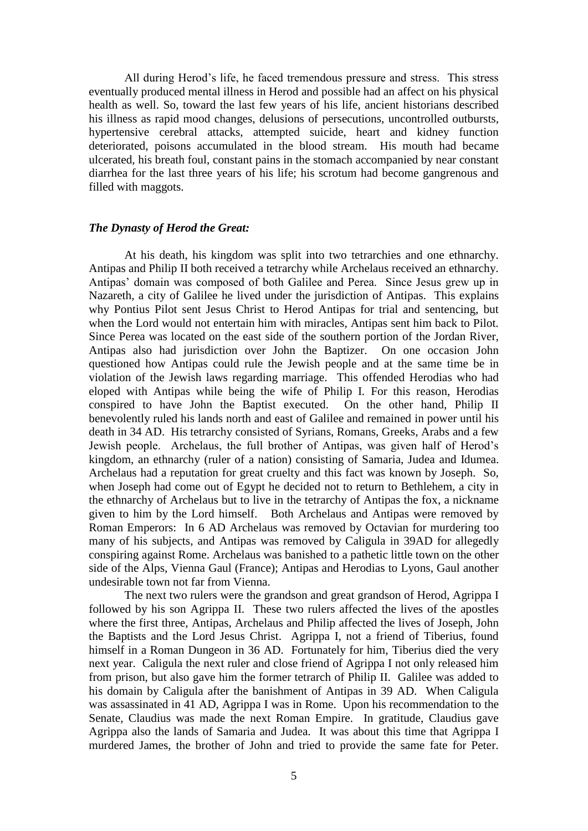All during Herod's life, he faced tremendous pressure and stress. This stress eventually produced mental illness in Herod and possible had an affect on his physical health as well. So, toward the last few years of his life, ancient historians described his illness as rapid mood changes, delusions of persecutions, uncontrolled outbursts, hypertensive cerebral attacks, attempted suicide, heart and kidney function deteriorated, poisons accumulated in the blood stream. His mouth had became ulcerated, his breath foul, constant pains in the stomach accompanied by near constant diarrhea for the last three years of his life; his scrotum had become gangrenous and filled with maggots.

### *The Dynasty of Herod the Great:*

At his death, his kingdom was split into two tetrarchies and one ethnarchy. Antipas and Philip II both received a tetrarchy while Archelaus received an ethnarchy. Antipas' domain was composed of both Galilee and Perea. Since Jesus grew up in Nazareth, a city of Galilee he lived under the jurisdiction of Antipas. This explains why Pontius Pilot sent Jesus Christ to Herod Antipas for trial and sentencing, but when the Lord would not entertain him with miracles, Antipas sent him back to Pilot. Since Perea was located on the east side of the southern portion of the Jordan River, Antipas also had jurisdiction over John the Baptizer. On one occasion John questioned how Antipas could rule the Jewish people and at the same time be in violation of the Jewish laws regarding marriage. This offended Herodias who had eloped with Antipas while being the wife of Philip I. For this reason, Herodias conspired to have John the Baptist executed. On the other hand, Philip II benevolently ruled his lands north and east of Galilee and remained in power until his death in 34 AD. His tetrarchy consisted of Syrians, Romans, Greeks, Arabs and a few Jewish people. Archelaus, the full brother of Antipas, was given half of Herod's kingdom, an ethnarchy (ruler of a nation) consisting of Samaria, Judea and Idumea. Archelaus had a reputation for great cruelty and this fact was known by Joseph. So, when Joseph had come out of Egypt he decided not to return to Bethlehem, a city in the ethnarchy of Archelaus but to live in the tetrarchy of Antipas the fox, a nickname given to him by the Lord himself. Both Archelaus and Antipas were removed by Roman Emperors: In 6 AD Archelaus was removed by Octavian for murdering too many of his subjects, and Antipas was removed by Caligula in 39AD for allegedly conspiring against Rome. Archelaus was banished to a pathetic little town on the other side of the Alps, Vienna Gaul (France); Antipas and Herodias to Lyons, Gaul another undesirable town not far from Vienna.

The next two rulers were the grandson and great grandson of Herod, Agrippa I followed by his son Agrippa II. These two rulers affected the lives of the apostles where the first three, Antipas, Archelaus and Philip affected the lives of Joseph, John the Baptists and the Lord Jesus Christ. Agrippa I, not a friend of Tiberius, found himself in a Roman Dungeon in 36 AD. Fortunately for him, Tiberius died the very next year. Caligula the next ruler and close friend of Agrippa I not only released him from prison, but also gave him the former tetrarch of Philip II. Galilee was added to his domain by Caligula after the banishment of Antipas in 39 AD. When Caligula was assassinated in 41 AD, Agrippa I was in Rome. Upon his recommendation to the Senate, Claudius was made the next Roman Empire. In gratitude, Claudius gave Agrippa also the lands of Samaria and Judea. It was about this time that Agrippa I murdered James, the brother of John and tried to provide the same fate for Peter.